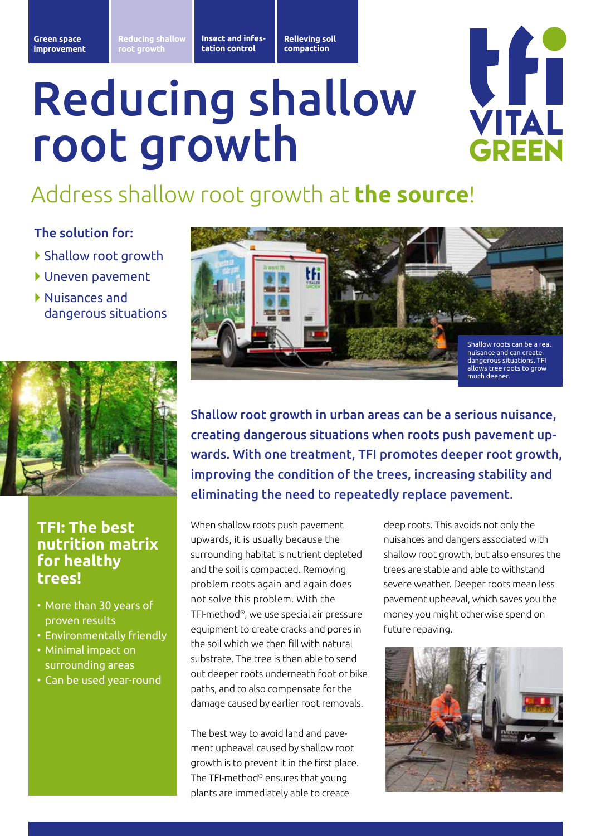Insect and infes**plaagbestrijding tation control** **Opheffen Relieving soil bodemverdichting compaction**

# Reducing shallow root growth



## Address shallow root growth at **the source**!

### The solution for:

- } Shallow root growth
- } Uneven pavement
- } Nuisances and dangerous situations



### **TFI: The best nutrition matrix for healthy trees!**

- More than 30 years of proven results
- Environmentally friendly
- Minimal impact on surrounding areas
- Can be used year-round



Shallow root growth in urban areas can be a serious nuisance, creating dangerous situations when roots push pavement upwards. With one treatment, TFI promotes deeper root growth, improving the condition of the trees, increasing stability and eliminating the need to repeatedly replace pavement.

When shallow roots push pavement upwards, it is usually because the surrounding habitat is nutrient depleted and the soil is compacted. Removing problem roots again and again does not solve this problem. With the TFI-method®, we use special air pressure equipment to create cracks and pores in the soil which we then fill with natural substrate. The tree is then able to send out deeper roots underneath foot or bike paths, and to also compensate for the damage caused by earlier root removals.

The best way to avoid land and pavement upheaval caused by shallow root growth is to prevent it in the first place. The TFI-method® ensures that young plants are immediately able to create

deep roots. This avoids not only the nuisances and dangers associated with shallow root growth, but also ensures the trees are stable and able to withstand severe weather. Deeper roots mean less pavement upheaval, which saves you the money you might otherwise spend on future repaving.